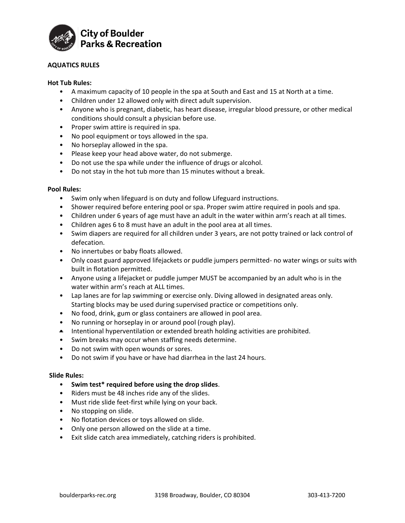

# **AQUATICS RULES**

# **Hot Tub Rules:**

- A maximum capacity of 10 people in the spa at South and East and 15 at North at a time.
- Children under 12 allowed only with direct adult supervision.
- Anyone who is pregnant, diabetic, has heart disease, irregular blood pressure, or other medical conditions should consult a physician before use.
- Proper swim attire is required in spa.
- No pool equipment or toys allowed in the spa.
- No horseplay allowed in the spa.
- Please keep your head above water, do not submerge.
- Do not use the spa while under the influence of drugs or alcohol.
- Do not stay in the hot tub more than 15 minutes without a break.

### **Pool Rules:**

- Swim only when lifeguard is on duty and follow Lifeguard instructions.
- Shower required before entering pool or spa. Proper swim attire required in pools and spa.
- Children under 6 years of age must have an adult in the water within arm's reach at all times.
- Children ages 6 to 8 must have an adult in the pool area at all times.
- Swim diapers are required for all children under 3 years, are not potty trained or lack control of defecation.
- No innertubes or baby floats allowed.
- Only coast guard approved lifejackets or puddle jumpers permitted- no water wings or suits with built in flotation permitted.
- Anyone using a lifejacket or puddle jumper MUST be accompanied by an adult who is in the water within arm's reach at ALL times.
- Lap lanes are for lap swimming or exercise only. Diving allowed in designated areas only. Starting blocks may be used during supervised practice or competitions only.
- No food, drink, gum or glass containers are allowed in pool area.
- No running or horseplay in or around pool (rough play).
- Intentional hyperventilation or extended breath holding activities are prohibited.
- Swim breaks may occur when staffing needs determine.
- Do not swim with open wounds or sores.
- Do not swim if you have or have had diarrhea in the last 24 hours.

### **Slide Rules:**

- **Swim test\* required before using the drop slides**.
- Riders must be 48 inches ride any of the slides.
- Must ride slide feet-first while lying on your back.
- No stopping on slide.
- No flotation devices or toys allowed on slide.
- Only one person allowed on the slide at a time.
- Exit slide catch area immediately, catching riders is prohibited.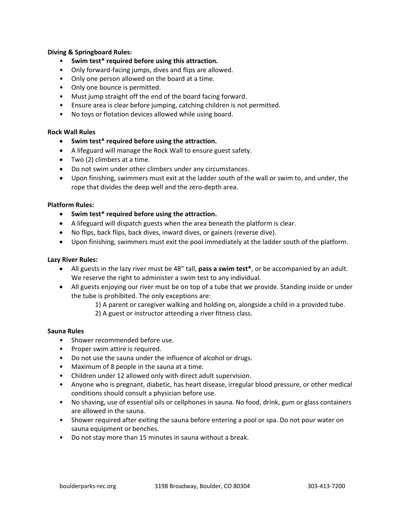# **Diving & Springboard Rules:**

- **Swim test\* required before using this attraction.**
- Only forward-facing jumps, dives and flips are allowed.
- Only one person allowed on the board at a time.
- Only one bounce is permitted.
- Must jump straight off the end of the board facing forward.
- Ensure area is clear before jumping, catching children is not permitted.
- No toys or flotation devices allowed while using board.

# **Rock Wall Rules**

- **Swim test\* required before using the attraction.**
- A lifeguard will manage the Rock Wall to ensure guest safety.
- Two (2) climbers at a time.
- Do not swim under other climbers under any circumstances.
- Upon finishing, swimmers must exit at the ladder south of the wall or swim to, and under, the rope that divides the deep well and the zero-depth area.

### **Platform Rules:**

- **Swim test\* required before using the attraction.**
- A lifeguard will dispatch guests when the area beneath the platform is clear.
- No flips, back flips, back dives, inward dives, or gainers (reverse dive).
- Upon finishing, swimmers must exit the pool immediately at the ladder south of the platform.

### **Lazy River Rules:**

- All guests in the lazy river must be 48" tall, **pass a swim test\***, or be accompanied by an adult. We reserve the right to administer a swim test to any individual.
- All guests enjoying our river must be on top of a tube that we provide. Standing inside or under the tube is prohibited. The only exceptions are:
	- 1) A parent or caregiver walking and holding on, alongside a child in a provided tube.
	- 2) A guest or instructor attending a river fitness class.

### **Sauna Rules**

- Shower recommended before use.
- Proper swim attire is required.
- Do not use the sauna under the influence of alcohol or drugs.
- Maximum of 8 people in the sauna at a time.
- Children under 12 allowed only with direct adult supervision.
- Anyone who is pregnant, diabetic, has heart disease, irregular blood pressure, or other medical conditions should consult a physician before use.
- No shaving, use of essential oils or cellphones in sauna. No food, drink, gum or glass containers are allowed in the sauna.
- Shower required after exiting the sauna before entering a pool or spa. Do not pour water on sauna equipment or benches.
- Do not stay more than 15 minutes in sauna without a break.